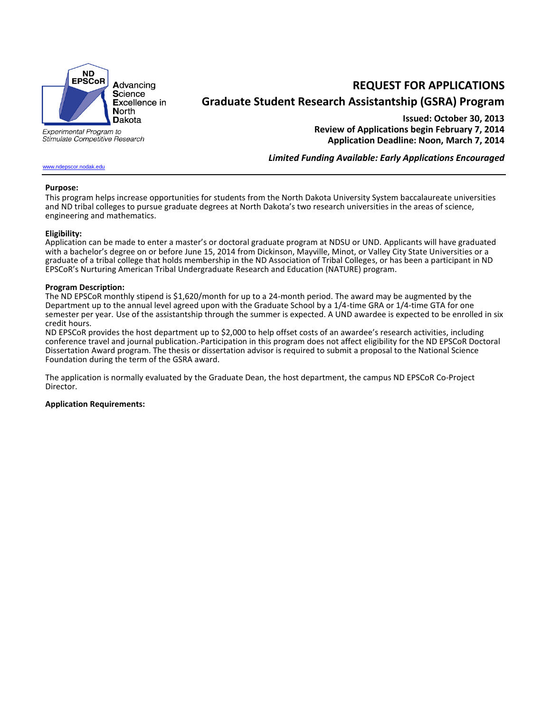

**REQUEST FOR APPLICATIONS Graduate Student Research Assistantship (GSRA) Program**

Experimental Program to Stimulate Competitive Research

# [www.ndepscor.nodak.edu](http://www.ndepscor.nodak.edu/)

**Issued: October 30, 2013 Review of Applications begin February 7, 2014 Application Deadline: Noon, March 7, 2014**

*Limited Funding Available: Early Applications Encouraged*

#### **Purpose:**

This program helps increase opportunities for students from the North Dakota University System baccalaureate universities and ND tribal colleges to pursue graduate degrees at North Dakota's two research universities in the areas of science, engineering and mathematics.

#### **Eligibility:**

Application can be made to enter a master's or doctoral graduate program at NDSU or UND. Applicants will have graduated with a bachelor's degree on or before June 15, 2014 from Dickinson, Mayville, Minot, or Valley City State Universities or a graduate of a tribal college that holds membership in the ND Association of Tribal Colleges, or has been a participant in ND EPSCoR's Nurturing American Tribal Undergraduate Research and Education (NATURE) program.

### **Program Description:**

The ND EPSCoR monthly stipend is \$1,620/month for up to a 24-month period. The award may be augmented by the Department up to the annual level agreed upon with the Graduate School by a 1/4-time GRA or 1/4-time GTA for one semester per year. Use of the assistantship through the summer is expected. A UND awardee is expected to be enrolled in six credit hours.

ND EPSCoR provides the host department up to \$2,000 to help offset costs of an awardee's research activities, including conference travel and journal publication. Participation in this program does not affect eligibility for the ND EPSCoR Doctoral Dissertation Award program. The thesis or dissertation advisor is required to submit a proposal to the National Science Foundation during the term of the GSRA award.

The application is normally evaluated by the Graduate Dean, the host department, the campus ND EPSCoR Co-Project Director.

## **Application Requirements:**